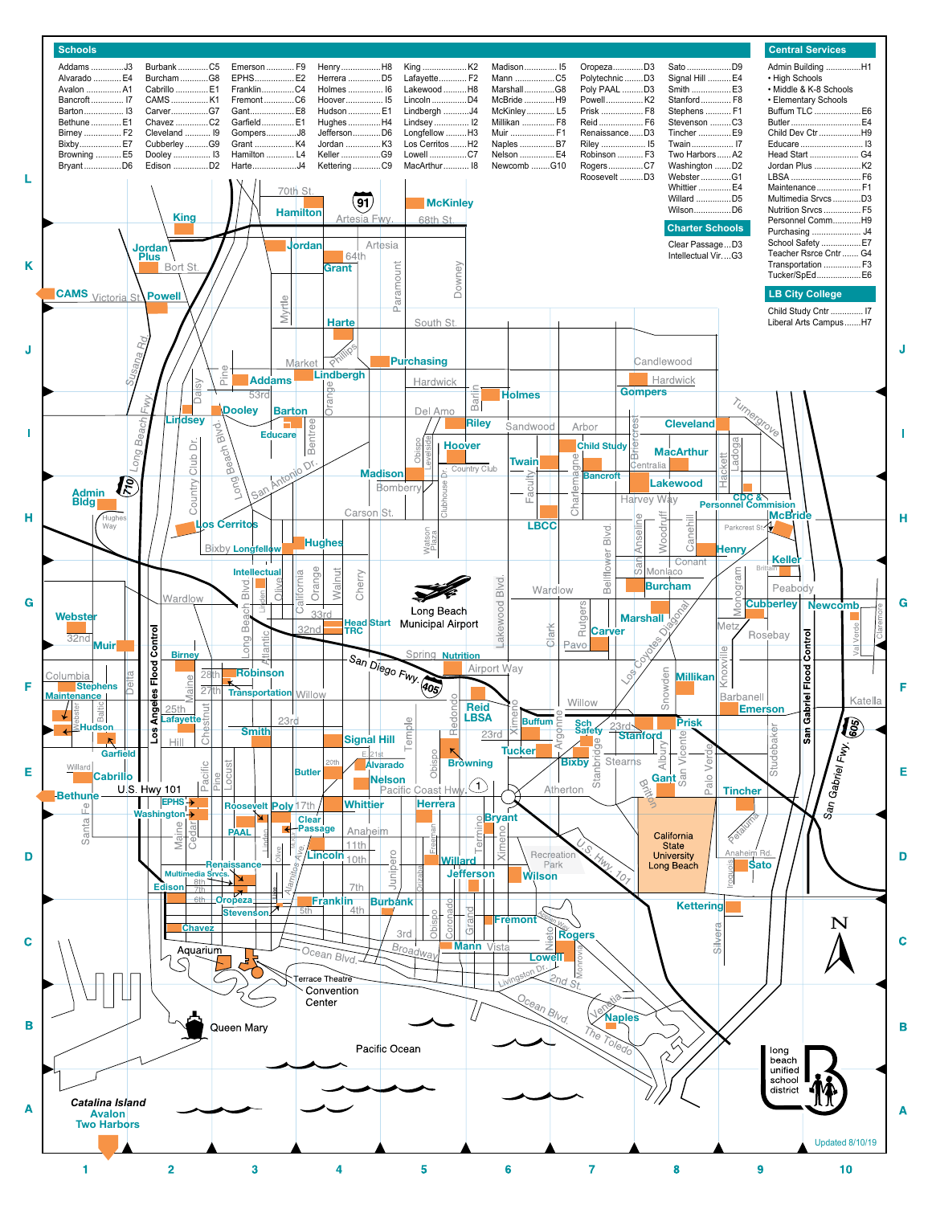